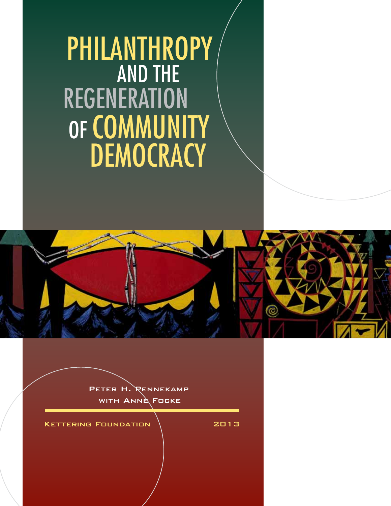UMINU<br>EMACD REGENERATION AND THE **PHILANTHROPY** OF COMMUNITY DEMOCRACY



PETER H. RENNEKAMP WITH ANNÈ FOCKE

Kettering Foundation november 2012

Kettering Foundation 2013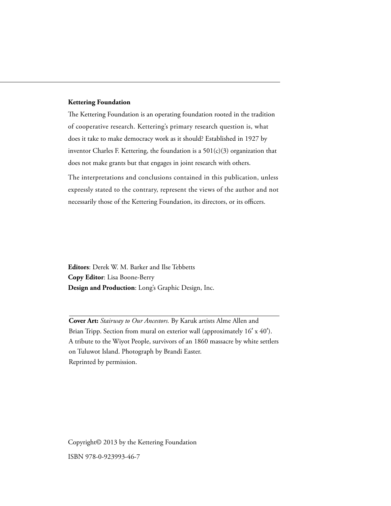#### **Kettering Foundation**

The Kettering Foundation is an operating foundation rooted in the tradition of cooperative research. Kettering's primary research question is, what does it take to make democracy work as it should? Established in 1927 by inventor Charles F. Kettering, the foundation is a  $501(c)(3)$  organization that does not make grants but that engages in joint research with others.

The interpretations and conclusions contained in this publication, unless expressly stated to the contrary, represent the views of the author and not necessarily those of the Kettering Foundation, its directors, or its officers.

**Editors**: Derek W. M. Barker and Ilse Tebbetts **Copy Editor**: Lisa Boone-Berry **Design and Production**: Long's Graphic Design, Inc.

**Cover Art:** *Stairway to Our Ancestors.* By Karuk artists Alme Allen and Brian Tripp. Section from mural on exterior wall (approximately 16' x 40'). A tribute to the Wiyot People, survivors of an 1860 massacre by white settlers on Tuluwot Island. Photograph by Brandi Easter. Reprinted by permission.

Copyright© 2013 by the Kettering Foundation ISBN 978-0-923993-46-7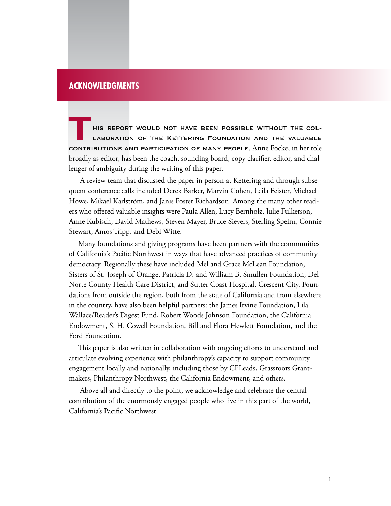#### **ACKNOWLEDGMENTS**

**T**his report would not have been possible without the collaboration of the Kettering Foundation and the valuable contributions and participation of many people. Anne Focke, in her role broadly as editor, has been the coach, sounding board, copy clarifier, editor, and challenger of ambiguity during the writing of this paper.

 A review team that discussed the paper in person at Kettering and through subsequent conference calls included Derek Barker, Marvin Cohen, Leila Feister, Michael Howe, Mikael Karlström, and Janis Foster Richardson. Among the many other readers who offered valuable insights were Paula Allen, Lucy Bernholz, Julie Fulkerson, Anne Kubisch, David Mathews, Steven Mayer, Bruce Sievers, Sterling Speirn, Connie Stewart, Amos Tripp, and Debi Witte.

Many foundations and giving programs have been partners with the communities of California's Pacific Northwest in ways that have advanced practices of community democracy. Regionally these have included Mel and Grace McLean Foundation, Sisters of St. Joseph of Orange, Patricia D. and William B. Smullen Foundation, Del Norte County Health Care District, and Sutter Coast Hospital, Crescent City. Foundations from outside the region, both from the state of California and from elsewhere in the country, have also been helpful partners: the James Irvine Foundation, Lila Wallace/Reader's Digest Fund, Robert Woods Johnson Foundation, the California Endowment, S. H. Cowell Foundation, Bill and Flora Hewlett Foundation, and the Ford Foundation.

articulate evolving experience with philanthropy's capacity to support community This paper is also written in collaboration with ongoing efforts to understand and engagement locally and nationally, including those by CFLeads, Grassroots Grantmakers, Philanthropy Northwest, the California Endowment, and others.

 Above all and directly to the point, we acknowledge and celebrate the central contribution of the enormously engaged people who live in this part of the world, California's Pacific Northwest.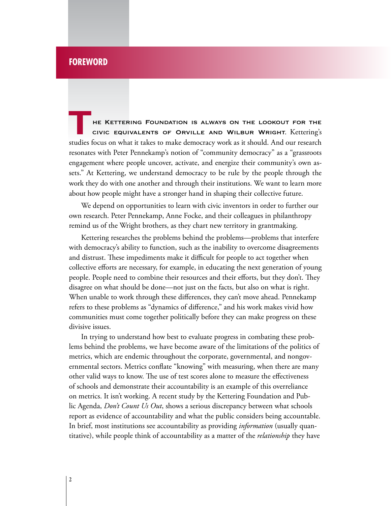### **FOREWORD**

HE KETTERING FOUNDATION IS ALWAYS ON THE LOOKOUT FOR THE civic equivalents of Orville and Wilbur Wright. Kettering's studies focus on what it takes to make democracy work as it should. And our research resonates with Peter Pennekamp's notion of "community democracy" as a "grassroots engagement where people uncover, activate, and energize their community's own assets." At Kettering, we understand democracy to be rule by the people through the work they do with one another and through their institutions. We want to learn more about how people might have a stronger hand in shaping their collective future.

We depend on opportunities to learn with civic inventors in order to further our own research. Peter Pennekamp, Anne Focke, and their colleagues in philanthropy remind us of the Wright brothers, as they chart new territory in grantmaking.

Kettering researches the problems behind the problems—problems that interfere with democracy's ability to function, such as the inability to overcome disagreements and distrust. These impediments make it difficult for people to act together when collective efforts are necessary, for example, in educating the next generation of young people. People need to combine their resources and their efforts, but they don't. They disagree on what should be done—not just on the facts, but also on what is right. When unable to work through these differences, they can't move ahead. Pennekamp refers to these problems as "dynamics of difference," and his work makes vivid how communities must come together politically before they can make progress on these divisive issues.

 In trying to understand how best to evaluate progress in combating these problems behind the problems, we have become aware of the limitations of the politics of metrics, which are endemic throughout the corporate, governmental, and nongovernmental sectors. Metrics conflate "knowing" with measuring, when there are many other valid ways to know. The use of test scores alone to measure the effectiveness of schools and demonstrate their accountability is an example of this overreliance on metrics. It isn't working. A recent study by the Kettering Foundation and Public Agenda, *Don't Count Us Out*, shows a serious discrepancy between what schools report as evidence of accountability and what the public considers being accountable. In brief, most institutions see accountability as providing *information* (usually quantitative), while people think of accountability as a matter of the *relationship* they have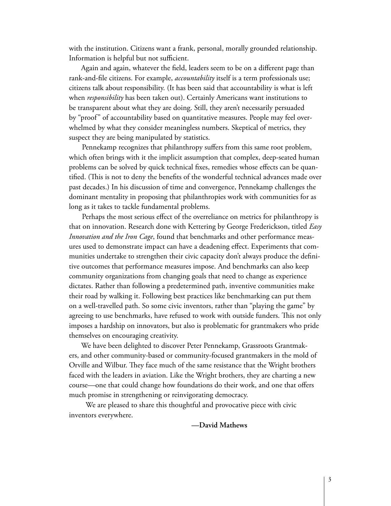with the institution. Citizens want a frank, personal, morally grounded relationship. Information is helpful but not sufficient.

Again and again, whatever the field, leaders seem to be on a different page than rank-and-file citizens. For example, *accountability* itself is a term professionals use; citizens talk about responsibility. (It has been said that accountability is what is left when *responsibility* has been taken out). Certainly Americans want institutions to be transparent about what they are doing. Still, they aren't necessarily persuaded by "proof" of accountability based on quantitative measures. People may feel overwhelmed by what they consider meaningless numbers. Skeptical of metrics, they suspect they are being manipulated by statistics.

 Pennekamp recognizes that philanthropy suffers from this same root problem, which often brings with it the implicit assumption that complex, deep-seated human problems can be solved by quick technical fixes, remedies whose effects can be quantified. (This is not to deny the benefits of the wonderful technical advances made over past decades.) In his discussion of time and convergence, Pennekamp challenges the dominant mentality in proposing that philanthropies work with communities for as long as it takes to tackle fundamental problems.

 Perhaps the most serious effect of the overreliance on metrics for philanthropy is that on innovation. Research done with Kettering by George Frederickson, titled *Easy Innovation and the Iron Cage*, found that benchmarks and other performance measures used to demonstrate impact can have a deadening effect. Experiments that communities undertake to strengthen their civic capacity don't always produce the definitive outcomes that performance measures impose. And benchmarks can also keep community organizations from changing goals that need to change as experience dictates. Rather than following a predetermined path, inventive communities make their road by walking it. Following best practices like benchmarking can put them on a well-travelled path. So some civic inventors, rather than "playing the game" by agreeing to use benchmarks, have refused to work with outside funders. This not only imposes a hardship on innovators, but also is problematic for grantmakers who pride themselves on encouraging creativity.

We have been delighted to discover Peter Pennekamp, Grassroots Grantmakers, and other community-based or community-focused grantmakers in the mold of Orville and Wilbur. They face much of the same resistance that the Wright brothers faced with the leaders in aviation. Like the Wright brothers, they are charting a new course—one that could change how foundations do their work, and one that offers much promise in strengthening or reinvigorating democracy.

 We are pleased to share this thoughtful and provocative piece with civic inventors everywhere.

**—David Mathews**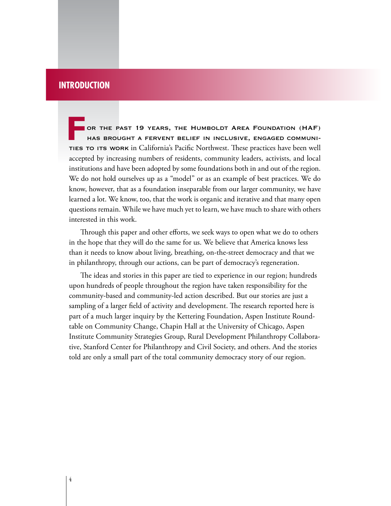#### **INTRODUCTION**

**F**or the past 19 years, the Humboldt Area Foundation (HAF) has brought a fervent belief in inclusive, engaged communities to its work in California's Pacific Northwest. These practices have been well accepted by increasing numbers of residents, community leaders, activists, and local institutions and have been adopted by some foundations both in and out of the region. We do not hold ourselves up as a "model" or as an example of best practices. We do know, however, that as a foundation inseparable from our larger community, we have learned a lot. We know, too, that the work is organic and iterative and that many open questions remain. While we have much yet to learn, we have much to share with others interested in this work.

 Through this paper and other efforts, we seek ways to open what we do to others in the hope that they will do the same for us. We believe that America knows less than it needs to know about living, breathing, on-the-street democracy and that we in philanthropy, through our actions, can be part of democracy's regeneration.

 The ideas and stories in this paper are tied to experience in our region; hundreds upon hundreds of people throughout the region have taken responsibility for the community-based and community-led action described. But our stories are just a sampling of a larger field of activity and development. The research reported here is part of a much larger inquiry by the Kettering Foundation, Aspen Institute Roundtable on Community Change, Chapin Hall at the University of Chicago, Aspen Institute Community Strategies Group, Rural Development Philanthropy Collaborative, Stanford Center for Philanthropy and Civil Society, and others. And the stories told are only a small part of the total community democracy story of our region.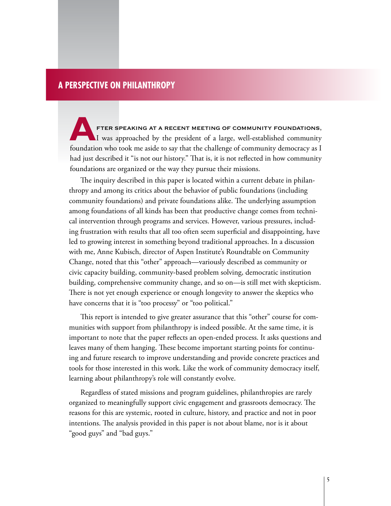### **A PERSPECTIVE ON PHILANTHROPY**

**FTER SPEAKING AT A RECENT MEETING OF COMMUNITY FOUNDATIONS,** I was approached by the president of a large, well-established community foundation who took me aside to say that the challenge of community democracy as I had just described it "is not our history." That is, it is not reflected in how community foundations are organized or the way they pursue their missions.

The inquiry described in this paper is located within a current debate in philanthropy and among its critics about the behavior of public foundations (including community foundations) and private foundations alike. The underlying assumption among foundations of all kinds has been that productive change comes from technical intervention through programs and services. However, various pressures, including frustration with results that all too often seem superficial and disappointing, have led to growing interest in something beyond traditional approaches. In a discussion with me, Anne Kubisch, director of Aspen Institute's Roundtable on Community Change, noted that this "other" approach—variously described as community or civic capacity building, community-based problem solving, democratic institution building, comprehensive community change, and so on—is still met with skepticism. There is not yet enough experience or enough longevity to answer the skeptics who have concerns that it is "too processy" or "too political."

 This report is intended to give greater assurance that this "other" course for communities with support from philanthropy is indeed possible. At the same time, it is important to note that the paper reflects an open-ended process. It asks questions and leaves many of them hanging. These become important starting points for continuing and future research to improve understanding and provide concrete practices and tools for those interested in this work. Like the work of community democracy itself, learning about philanthropy's role will constantly evolve.

 Regardless of stated missions and program guidelines, philanthropies are rarely organized to meaningfully support civic engagement and grassroots democracy. The reasons for this are systemic, rooted in culture, history, and practice and not in poor intentions. The analysis provided in this paper is not about blame, nor is it about "good guys" and "bad guys."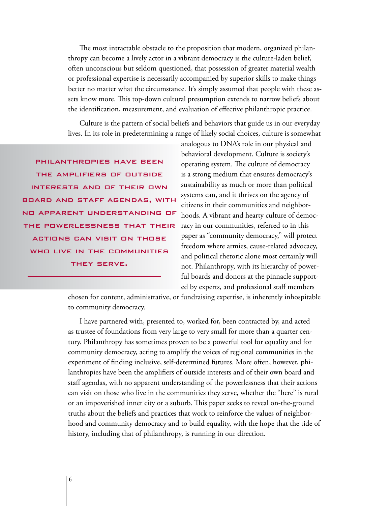The most intractable obstacle to the proposition that modern, organized philanthropy can become a lively actor in a vibrant democracy is the culture-laden belief, often unconscious but seldom questioned, that possession of greater material wealth or professional expertise is necessarily accompanied by superior skills to make things better no matter what the circumstance. It's simply assumed that people with these assets know more. This top-down cultural presumption extends to narrow beliefs about the identification, measurement, and evaluation of effective philanthropic practice.

 Culture is the pattern of social beliefs and behaviors that guide us in our everyday lives. In its role in predetermining a range of likely social choices, culture is somewhat

philanthropies have been the amplifiers of outside interests and of their own board and staff agendas, with no apparent understanding of the powerlessness that their actions can visit on those who live in the communities they serve.

analogous to DNA's role in our physical and behavioral development. Culture is society's operating system. The culture of democracy is a strong medium that ensures democracy's sustainability as much or more than political systems can, and it thrives on the agency of citizens in their communities and neighborhoods. A vibrant and hearty culture of democracy in our communities, referred to in this paper as "community democracy," will protect freedom where armies, cause-related advocacy, and political rhetoric alone most certainly will not. Philanthropy, with its hierarchy of powerful boards and donors at the pinnacle supported by experts, and professional staff members

chosen for content, administrative, or fundraising expertise, is inherently inhospitable to community democracy.

 I have partnered with, presented to, worked for, been contracted by, and acted as trustee of foundations from very large to very small for more than a quarter century. Philanthropy has sometimes proven to be a powerful tool for equality and for community democracy, acting to amplify the voices of regional communities in the experiment of finding inclusive, self-determined futures. More often, however, philanthropies have been the amplifiers of outside interests and of their own board and staff agendas, with no apparent understanding of the powerlessness that their actions can visit on those who live in the communities they serve, whether the "here" is rural or an impoverished inner city or a suburb. This paper seeks to reveal on-the-ground truths about the beliefs and practices that work to reinforce the values of neighborhood and community democracy and to build equality, with the hope that the tide of history, including that of philanthropy, is running in our direction.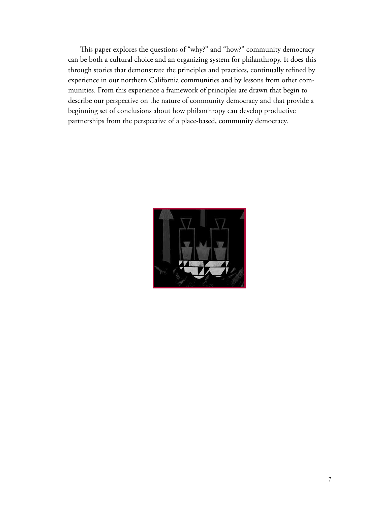This paper explores the questions of "why?" and "how?" community democracy can be both a cultural choice and an organizing system for philanthropy. It does this through stories that demonstrate the principles and practices, continually refined by experience in our northern California communities and by lessons from other communities. From this experience a framework of principles are drawn that begin to describe our perspective on the nature of community democracy and that provide a beginning set of conclusions about how philanthropy can develop productive partnerships from the perspective of a place-based, community democracy.

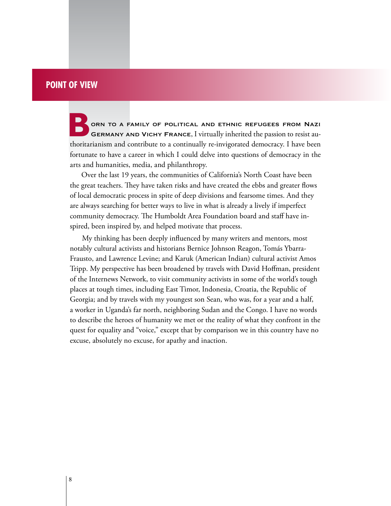### **POINT OF VIEW**

ORN TO A FAMILY OF POLITICAL AND ETHNIC REFUGEES FROM NAZI Germany and Vichy France, I virtually inherited the passion to resist authoritarianism and contribute to a continually re-invigorated democracy. I have been fortunate to have a career in which I could delve into questions of democracy in the arts and humanities, media, and philanthropy.

 Over the last 19 years, the communities of California's North Coast have been the great teachers. They have taken risks and have created the ebbs and greater flows of local democratic process in spite of deep divisions and fearsome times. And they are always searching for better ways to live in what is already a lively if imperfect community democracy. The Humboldt Area Foundation board and staff have inspired, been inspired by, and helped motivate that process.

My thinking has been deeply influenced by many writers and mentors, most notably cultural activists and historians Bernice Johnson Reagon, Tomás Ybarra-Frausto, and Lawrence Levine; and Karuk (American Indian) cultural activist Amos Tripp. My perspective has been broadened by travels with David Hoffman, president of the Internews Network, to visit community activists in some of the world's tough places at tough times, including East Timor, Indonesia, Croatia, the Republic of Georgia; and by travels with my youngest son Sean, who was, for a year and a half, a worker in Uganda's far north, neighboring Sudan and the Congo. I have no words to describe the heroes of humanity we met or the reality of what they confront in the quest for equality and "voice," except that by comparison we in this country have no excuse, absolutely no excuse, for apathy and inaction.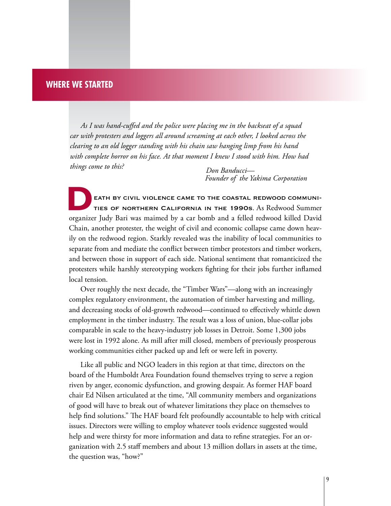### **WHERE WE STARTED**

*As I was hand-cuffed and the police were placing me in the backseat of a squad car with protesters and loggers all around screaming at each other, I looked across the clearing to an old logger standing with his chain saw hanging limp from his hand with complete horror on his face. At that moment I knew I stood with him. How had things come to this?* 

*Founder of the Yakima Corporation Don Banducci—*

**EATH BY CIVIL VIOLENCE CAME TO THE COASTAL REDWOOD COMMUNI**ties of northern California in the 1990s. As Redwood Summer organizer Judy Bari was maimed by a car bomb and a felled redwood killed David Chain, another protester, the weight of civil and economic collapse came down heavily on the redwood region. Starkly revealed was the inability of local communities to separate from and mediate the conflict between timber protestors and timber workers, and between those in support of each side. National sentiment that romanticized the protesters while harshly stereotyping workers fighting for their jobs further inflamed local tension.

Over roughly the next decade, the "Timber Wars"—along with an increasingly complex regulatory environment, the automation of timber harvesting and milling, and decreasing stocks of old-growth redwood—continued to effectively whittle down employment in the timber industry. The result was a loss of union, blue-collar jobs comparable in scale to the heavy-industry job losses in Detroit. Some 1,300 jobs were lost in 1992 alone. As mill after mill closed, members of previously prosperous working communities either packed up and left or were left in poverty.

Like all public and NGO leaders in this region at that time, directors on the board of the Humboldt Area Foundation found themselves trying to serve a region riven by anger, economic dysfunction, and growing despair. As former HAF board chair Ed Nilsen articulated at the time, "All community members and organizations of good will have to break out of whatever limitations they place on themselves to help find solutions." The HAF board felt profoundly accountable to help with critical issues. Directors were willing to employ whatever tools evidence suggested would help and were thirsty for more information and data to refine strategies. For an organization with 2.5 staff members and about 13 million dollars in assets at the time, the question was, "how?"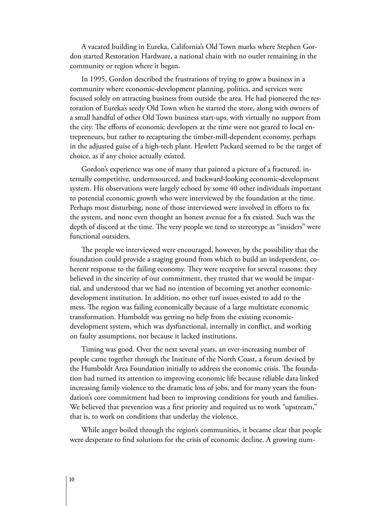A vacated building in Eureka, California's Old Town marks where Stephen Gordon started Restoration Hardware, a national chain with no outlet remaining in the community or region where it began.

In 1995, Gordon described the frustrations of trying to grow a business in a community where economic-development planning, politics, and services were focused solely on attracting business from outside the area. He had pioneered the restoration of Eureka's seedy Old Town when he started the store, along with owners of a small handful of other Old Town business start-ups, with virtually no support from the city. The efforts of economic developers at the time were not geared to local entrepreneurs, but rather to recapturing the timber-mill-dependent economy, perhaps in the adjusted guise of a high-tech plant. Hewlett Packard seemed to be the target of choice, as if any choice actually existed.

Gordon's experience was one of many that painted a picture of a fractured, internally competitive, underresourced, and backward-looking economic-development system. His observations were largely echoed by some 40 other individuals important to potential economic growth who were interviewed by the foundation at the time. Perhaps most disturbing, none of those interviewed were involved in efforts to fix the system, and none even thought an honest avenue for a fix existed. Such was the depth of discord at the time. The very people we tend to stereotype as "insiders" were functional outsiders.

The people we interviewed were encouraged, however, by the possibility that the foundation could provide a staging ground from which to build an independent, coherent response to the failing economy. They were receptive for several reasons: they believed in the sincerity of our commitment, they trusted that we would be impartial, and understood that we had no intention of becoming yet another economicdevelopment institution. In addition, no other turf issues existed to add to the mess. The region was failing economically because of a large multistate economic transformation. Humboldt was getting no help from the existing economicdevelopment system, which was dysfunctional, internally in conflict, and working on faulty assumptions, not because it lacked institutions.

Timing was good. Over the next several years, an ever-increasing number of people came together through the Institute of the North Coast, a forum devised by the Humboldt Area Foundation initially to address the economic crisis. The foundation had turned its attention to improving economic life because reliable data linked increasing family violence to the dramatic loss of jobs, and for many years the foundation's core commitment had been to improving conditions for youth and families. We believed that prevention was a first priority and required us to work "upstream," that is, to work on conditions that underlay the violence.

While anger boiled through the region's communities, it became clear that people were desperate to find solutions for the crisis of economic decline. A growing num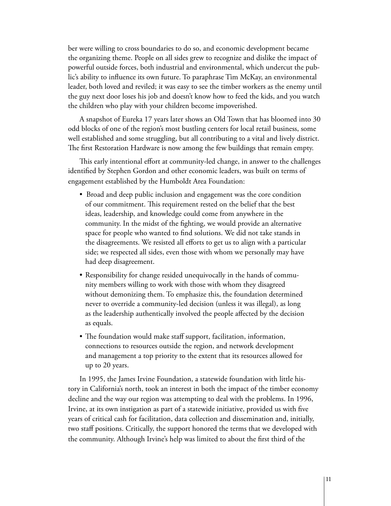ber were willing to cross boundaries to do so, and economic development became the organizing theme. People on all sides grew to recognize and dislike the impact of powerful outside forces, both industrial and environmental, which undercut the public's ability to influence its own future. To paraphrase Tim McKay, an environmental leader, both loved and reviled; it was easy to see the timber workers as the enemy until the guy next door loses his job and doesn't know how to feed the kids, and you watch the children who play with your children become impoverished.

A snapshot of Eureka 17 years later shows an Old Town that has bloomed into 30 odd blocks of one of the region's most bustling centers for local retail business, some well established and some struggling, but all contributing to a vital and lively district. The first Restoration Hardware is now among the few buildings that remain empty.

This early intentional effort at community-led change, in answer to the challenges identified by Stephen Gordon and other economic leaders, was built on terms of engagement established by the Humboldt Area Foundation:

- Broad and deep public inclusion and engagement was the core condition of our commitment. This requirement rested on the belief that the best ideas, leadership, and knowledge could come from anywhere in the community. In the midst of the fighting, we would provide an alternative space for people who wanted to find solutions. We did not take stands in the disagreements. We resisted all efforts to get us to align with a particular side; we respected all sides, even those with whom we personally may have had deep disagreement.
- Responsibility for change resided unequivocally in the hands of commu nity members willing to work with those with whom they disagreed without demonizing them. To emphasize this, the foundation determined never to override a community-led decision (unless it was illegal), as long as the leadership authentically involved the people affected by the decision as equals.
- The foundation would make staff support, facilitation, information, connections to resources outside the region, and network development and management a top priority to the extent that its resources allowed for up to 20 years.

In 1995, the James Irvine Foundation, a statewide foundation with little history in California's north, took an interest in both the impact of the timber economy decline and the way our region was attempting to deal with the problems. In 1996, Irvine, at its own instigation as part of a statewide initiative, provided us with five years of critical cash for facilitation, data collection and dissemination and, initially, two staff positions. Critically, the support honored the terms that we developed with the community. Although Irvine's help was limited to about the first third of the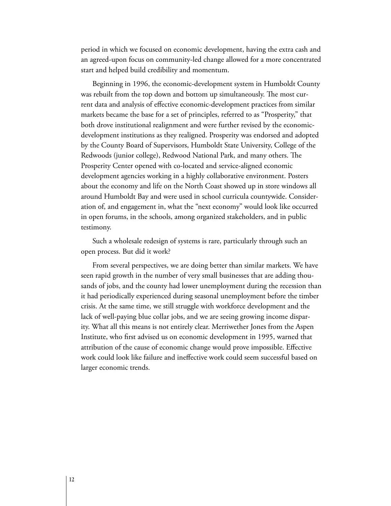period in which we focused on economic development, having the extra cash and an agreed-upon focus on community-led change allowed for a more concentrated start and helped build credibility and momentum.

Beginning in 1996, the economic-development system in Humboldt County was rebuilt from the top down and bottom up simultaneously. The most current data and analysis of effective economic-development practices from similar markets became the base for a set of principles, referred to as "Prosperity," that both drove institutional realignment and were further revised by the economicdevelopment institutions as they realigned. Prosperity was endorsed and adopted by the County Board of Supervisors, Humboldt State University, College of the Redwoods (junior college), Redwood National Park, and many others. The Prosperity Center opened with co-located and service-aligned economic development agencies working in a highly collaborative environment. Posters about the economy and life on the North Coast showed up in store windows all around Humboldt Bay and were used in school curricula countywide. Consideration of, and engagement in, what the "next economy" would look like occurred in open forums, in the schools, among organized stakeholders, and in public testimony.

Such a wholesale redesign of systems is rare, particularly through such an open process. But did it work?

From several perspectives, we are doing better than similar markets. We have seen rapid growth in the number of very small businesses that are adding thousands of jobs, and the county had lower unemployment during the recession than it had periodically experienced during seasonal unemployment before the timber crisis. At the same time, we still struggle with workforce development and the lack of well-paying blue collar jobs, and we are seeing growing income disparity. What all this means is not entirely clear. Merriwether Jones from the Aspen Institute, who first advised us on economic development in 1995, warned that attribution of the cause of economic change would prove impossible. Effective work could look like failure and ineffective work could seem successful based on larger economic trends.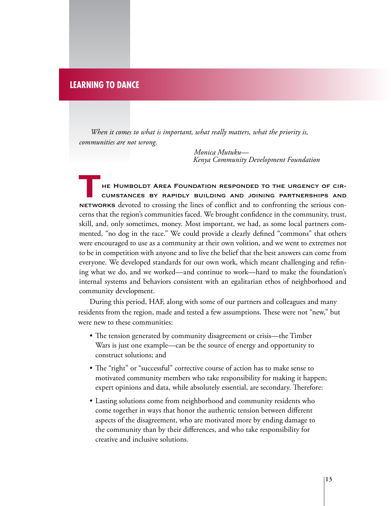# **LEARNING TO DANCE**

*When it comes to what is important, what really matters, what the priority is, communities are not wrong.*

> *Monica Mutuku— Kenya Community Development Foundation*

HE HUMBOLDT AREA FOUNDATION RESPONDED TO THE URGENCY OF CIRcumstances by rapidly building and joining partnerships and networks devoted to crossing the lines of conflict and to confronting the serious concerns that the region's communities faced. We brought confidence in the community, trust, skill, and, only sometimes, money. Most important, we had, as some local partners commented, "no dog in the race." We could provide a clearly defined "commons" that others were encouraged to use as a community at their own volition, and we went to extremes not to be in competition with anyone and to live the belief that the best answers can come from everyone. We developed standards for our own work, which meant challenging and refining what we do, and we worked—and continue to work—hard to make the foundation's internal systems and behaviors consistent with an egalitarian ethos of neighborhood and community development.

During this period, HAF, along with some of our partners and colleagues and many residents from the region, made and tested a few assumptions. These were not "new," but were new to these communities:

- The tension generated by community disagreement or crisis—the Timber Wars is just one example—can be the source of energy and opportunity to construct solutions; and
- The "right" or "successful" corrective course of action has to make sense to motivated community members who take responsibility for making it happen; expert opinions and data, while absolutely essential, are secondary. Therefore:
- Lasting solutions come from neighborhood and community residents who come together in ways that honor the authentic tension between different aspects of the disagreement, who are motivated more by ending damage to the community than by their differences, and who take responsibility for creative and inclusive solutions.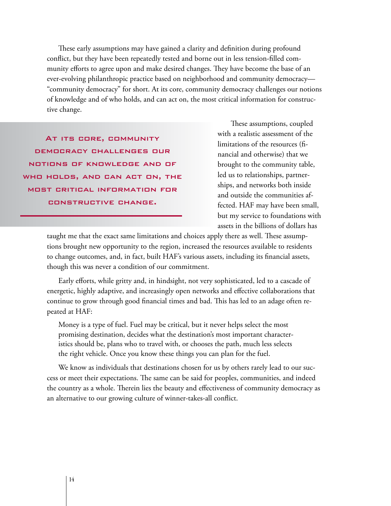These early assumptions may have gained a clarity and definition during profound conflict, but they have been repeatedly tested and borne out in less tension-filled community efforts to agree upon and make desired changes. They have become the base of an ever-evolving philanthropic practice based on neighborhood and community democracy— "community democracy" for short. At its core, community democracy challenges our notions of knowledge and of who holds, and can act on, the most critical information for constructive change.

At its core, community democracy challenges our notions of knowledge and of who holds, and can act on, the most critical information for constructive change.

These assumptions, coupled with a realistic assessment of the limitations of the resources (financial and otherwise) that we brought to the community table, led us to relationships, partnerships, and networks both inside and outside the communities affected. HAF may have been small, but my service to foundations with assets in the billions of dollars has

taught me that the exact same limitations and choices apply there as well. These assumptions brought new opportunity to the region, increased the resources available to residents to change outcomes, and, in fact, built HAF's various assets, including its financial assets, though this was never a condition of our commitment.

Early efforts, while gritty and, in hindsight, not very sophisticated, led to a cascade of energetic, highly adaptive, and increasingly open networks and effective collaborations that continue to grow through good financial times and bad. This has led to an adage often repeated at HAF:

Money is a type of fuel. Fuel may be critical, but it never helps select the most promising destination, decides what the destination's most important characteristics should be, plans who to travel with, or chooses the path, much less selects the right vehicle. Once you know these things you can plan for the fuel.

We know as individuals that destinations chosen for us by others rarely lead to our success or meet their expectations. The same can be said for peoples, communities, and indeed the country as a whole. Therein lies the beauty and effectiveness of community democracy as an alternative to our growing culture of winner-takes-all conflict.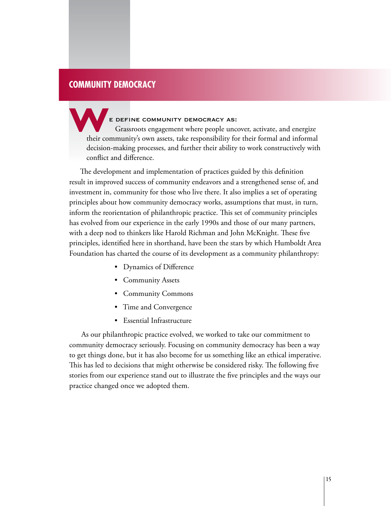## **COMMUNITY DEMOCRACY**

**E DEFINE COMMUNITY DEMOCRACY AS:** Grassroots engagement where people uncover, activate, and energize their community's own assets, take responsibility for their formal and informal decision-making processes, and further their ability to work constructively with conflict and difference.

The development and implementation of practices guided by this definition result in improved success of community endeavors and a strengthened sense of, and investment in, community for those who live there. It also implies a set of operating principles about how community democracy works, assumptions that must, in turn, inform the reorientation of philanthropic practice. This set of community principles has evolved from our experience in the early 1990s and those of our many partners, with a deep nod to thinkers like Harold Richman and John McKnight. These five principles, identified here in shorthand, have been the stars by which Humboldt Area Foundation has charted the course of its development as a community philanthropy:

- Dynamics of Difference
- Community Assets
- Community Commons
- Time and Convergence
- Essential Infrastructure

As our philanthropic practice evolved, we worked to take our commitment to community democracy seriously. Focusing on community democracy has been a way to get things done, but it has also become for us something like an ethical imperative. This has led to decisions that might otherwise be considered risky. The following five stories from our experience stand out to illustrate the five principles and the ways our practice changed once we adopted them.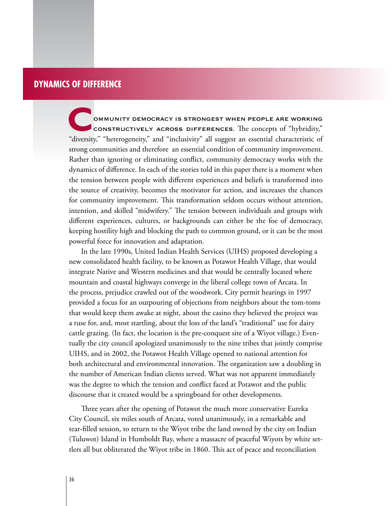### **DYNAMICS OF DIFFERENCE**

COMMUNITY DEMOCRACY IS STRONGEST WHEN PEOPLE ARE WORKING<br>
CONSTRUCTIVELY ACROSS DIFFERENCES. The concepts of "hybridity," "diversity," "heterogeneity," and "inclusivity" all suggest an essential characteristic of strong communities and therefore an essential condition of community improvement. Rather than ignoring or eliminating conflict, community democracy works with the dynamics of difference. In each of the stories told in this paper there is a moment when the tension between people with different experiences and beliefs is transformed into the source of creativity, becomes the motivator for action, and increases the chances for community improvement. This transformation seldom occurs without attention, intention, and skilled "midwifery." The tension between individuals and groups with different experiences, cultures, or backgrounds can either be the foe of democracy, keeping hostility high and blocking the path to common ground, or it can be the most powerful force for innovation and adaptation.

In the late 1990s, United Indian Health Services (UIHS) proposed developing a new consolidated health facility, to be known as Potawot Health Village, that would integrate Native and Western medicines and that would be centrally located where mountain and coastal highways converge in the liberal college town of Arcata. In the process, prejudice crawled out of the woodwork. City permit hearings in 1997 provided a focus for an outpouring of objections from neighbors about the tom-toms that would keep them awake at night, about the casino they believed the project was a ruse for, and, most startling, about the loss of the land's "traditional" use for dairy cattle grazing. (In fact, the location is the pre-conquest site of a Wiyot village.) Eventually the city council apologized unanimously to the nine tribes that jointly comprise UIHS, and in 2002, the Potawot Health Village opened to national attention for both architectural and environmental innovation. The organization saw a doubling in the number of American Indian clients served. What was not apparent immediately was the degree to which the tension and conflict faced at Potawot and the public discourse that it created would be a springboard for other developments.

Three years after the opening of Potawot the much more conservative Eureka City Council, six miles south of Arcata, voted unanimously, in a remarkable and tear-filled session, to return to the Wiyot tribe the land owned by the city on Indian (Tuluwot) Island in Humboldt Bay, where a massacre of peaceful Wiyots by white settlers all but obliterated the Wiyot tribe in 1860. This act of peace and reconciliation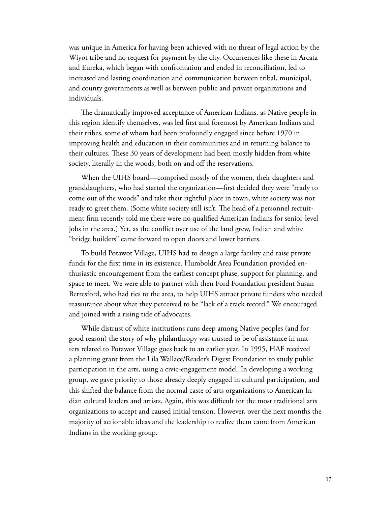was unique in America for having been achieved with no threat of legal action by the Wiyot tribe and no request for payment by the city. Occurrences like these in Arcata and Eureka, which began with confrontation and ended in reconciliation, led to increased and lasting coordination and communication between tribal, municipal, and county governments as well as between public and private organizations and individuals.

The dramatically improved acceptance of American Indians, as Native people in this region identify themselves, was led first and foremost by American Indians and their tribes, some of whom had been profoundly engaged since before 1970 in improving health and education in their communities and in returning balance to their cultures. These 30 years of development had been mostly hidden from white society, literally in the woods, both on and off the reservations.

When the UIHS board—comprised mostly of the women, their daughters and granddaughters, who had started the organization—first decided they were "ready to come out of the woods" and take their rightful place in town, white society was not ready to greet them. (Some white society still isn't. The head of a personnel recruitment firm recently told me there were no qualified American Indians for senior-level jobs in the area.) Yet, as the conflict over use of the land grew, Indian and white "bridge builders" came forward to open doors and lower barriers.

To build Potawot Village, UIHS had to design a large facility and raise private funds for the first time in its existence. Humboldt Area Foundation provided enthusiastic encouragement from the earliest concept phase, support for planning, and space to meet. We were able to partner with then Ford Foundation president Susan Berresford, who had ties to the area, to help UIHS attract private funders who needed reassurance about what they perceived to be "lack of a track record." We encouraged and joined with a rising tide of advocates.

While distrust of white institutions runs deep among Native peoples (and for good reason) the story of why philanthropy was trusted to be of assistance in matters related to Potawot Village goes back to an earlier year. In 1995, HAF received a planning grant from the Lila Wallace/Reader's Digest Foundation to study public participation in the arts, using a civic-engagement model. In developing a working group, we gave priority to those already deeply engaged in cultural participation, and this shifted the balance from the normal caste of arts organizations to American Indian cultural leaders and artists. Again, this was difficult for the most traditional arts organizations to accept and caused initial tension. However, over the next months the majority of actionable ideas and the leadership to realize them came from American Indians in the working group.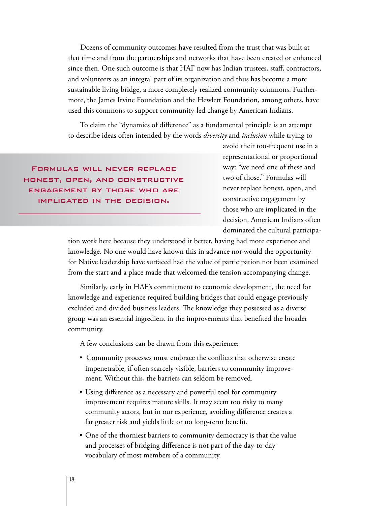Dozens of community outcomes have resulted from the trust that was built at that time and from the partnerships and networks that have been created or enhanced since then. One such outcome is that HAF now has Indian trustees, staff, contractors, and volunteers as an integral part of its organization and thus has become a more sustainable living bridge, a more completely realized community commons. Furthermore, the James Irvine Foundation and the Hewlett Foundation, among others, have used this commons to support community-led change by American Indians.

To claim the "dynamics of difference" as a fundamental principle is an attempt to describe ideas often intended by the words *diversity* and *inclusion* while trying to

Formulas will never replace honest, open, and constructive engagement by those who are implicated in the decision.

avoid their too-frequent use in a representational or proportional way: "we need one of these and two of those." Formulas will never replace honest, open, and constructive engagement by those who are implicated in the decision. American Indians often dominated the cultural participa-

tion work here because they understood it better, having had more experience and knowledge. No one would have known this in advance nor would the opportunity for Native leadership have surfaced had the value of participation not been examined from the start and a place made that welcomed the tension accompanying change.

Similarly, early in HAF's commitment to economic development, the need for knowledge and experience required building bridges that could engage previously excluded and divided business leaders. The knowledge they possessed as a diverse group was an essential ingredient in the improvements that benefited the broader community.

A few conclusions can be drawn from this experience:

- Community processes must embrace the conflicts that otherwise create impenetrable, if often scarcely visible, barriers to community improve ment. Without this, the barriers can seldom be removed.
- Using difference as a necessary and powerful tool for community improvement requires mature skills. It may seem too risky to many community actors, but in our experience, avoiding difference creates a far greater risk and yields little or no long-term benefit.
- One of the thorniest barriers to community democracy is that the value and processes of bridging difference is not part of the day-to-day vocabulary of most members of a community.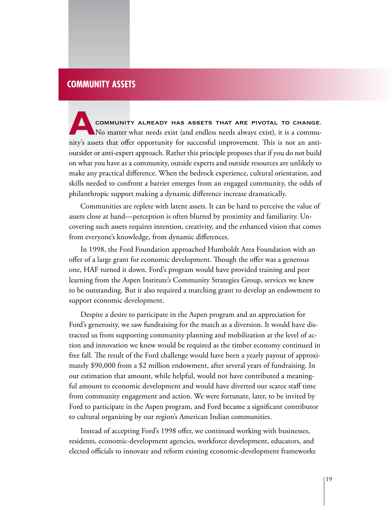#### **COMMUNITY ASSETS**

**A**community already has assets that are pivotal to change. No matter what needs exist (and endless needs always exist), it is a community's assets that offer opportunity for successful improvement. This is not an antioutsider or anti-expert approach. Rather this principle proposes that if you do not build on what you have as a community, outside experts and outside resources are unlikely to make any practical difference. When the bedrock experience, cultural orientation, and skills needed to confront a barrier emerges from an engaged community, the odds of philanthropic support making a dynamic difference increase dramatically.

Communities are replete with latent assets. It can be hard to perceive the value of assets close at hand—perception is often blurred by proximity and familiarity. Uncovering such assets requires intention, creativity, and the enhanced vision that comes from everyone's knowledge, from dynamic differences.

In 1998, the Ford Foundation approached Humboldt Area Foundation with an offer of a large grant for economic development. Though the offer was a generous one, HAF turned it down. Ford's program would have provided training and peer learning from the Aspen Institute's Community Strategies Group, services we knew to be outstanding. But it also required a matching grant to develop an endowment to support economic development.

Despite a desire to participate in the Aspen program and an appreciation for Ford's generosity, we saw fundraising for the match as a diversion. It would have distracted us from supporting community planning and mobilization at the level of action and innovation we knew would be required as the timber economy continued in free fall. The result of the Ford challenge would have been a yearly payout of approximately \$90,000 from a \$2 million endowment, after several years of fundraising. In our estimation that amount, while helpful, would not have contributed a meaningful amount to economic development and would have diverted our scarce staff time from community engagement and action. We were fortunate, later, to be invited by Ford to participate in the Aspen program, and Ford became a significant contributor to cultural organizing by our region's American Indian communities.

Instead of accepting Ford's 1998 offer, we continued working with businesses, residents, economic-development agencies, workforce development, educators, and elected officials to innovate and reform existing economic-development frameworks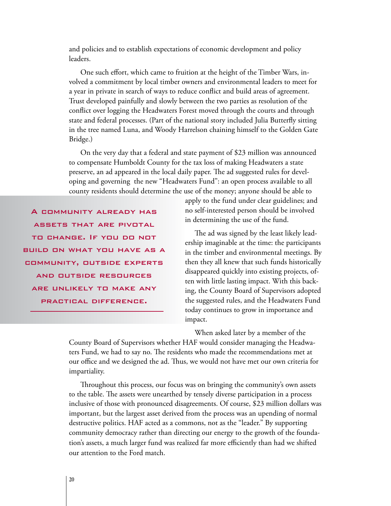and policies and to establish expectations of economic development and policy leaders.

One such effort, which came to fruition at the height of the Timber Wars, involved a commitment by local timber owners and environmental leaders to meet for a year in private in search of ways to reduce conflict and build areas of agreement. Trust developed painfully and slowly between the two parties as resolution of the conflict over logging the Headwaters Forest moved through the courts and through state and federal processes. (Part of the national story included Julia Butterfly sitting in the tree named Luna, and Woody Harrelson chaining himself to the Golden Gate Bridge.)

On the very day that a federal and state payment of \$23 million was announced to compensate Humboldt County for the tax loss of making Headwaters a state preserve, an ad appeared in the local daily paper. The ad suggested rules for developing and governing the new "Headwaters Fund": an open process available to all county residents should determine the use of the money; anyone should be able to

A community already has assets that are pivotal to change. If you do not build on what you have as a community, outside experts and outside resources are unlikely to make any practical difference.

apply to the fund under clear guidelines; and no self-interested person should be involved in determining the use of the fund.

The ad was signed by the least likely leadership imaginable at the time: the participants in the timber and environmental meetings. By then they all knew that such funds historically disappeared quickly into existing projects, often with little lasting impact. With this backing, the County Board of Supervisors adopted the suggested rules, and the Headwaters Fund today continues to grow in importance and impact.

When asked later by a member of the

County Board of Supervisors whether HAF would consider managing the Headwaters Fund, we had to say no. The residents who made the recommendations met at our office and we designed the ad. Thus, we would not have met our own criteria for impartiality.

Throughout this process, our focus was on bringing the community's own assets to the table. The assets were unearthed by tensely diverse participation in a process inclusive of those with pronounced disagreements. Of course, \$23 million dollars was important, but the largest asset derived from the process was an upending of normal destructive politics. HAF acted as a commons, not as the "leader." By supporting community democracy rather than directing our energy to the growth of the foundation's assets, a much larger fund was realized far more efficiently than had we shifted our attention to the Ford match.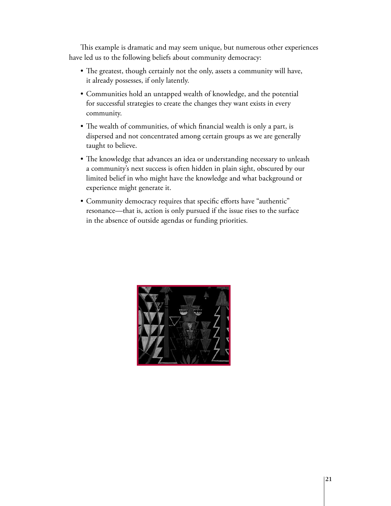This example is dramatic and may seem unique, but numerous other experiences have led us to the following beliefs about community democracy:

- The greatest, though certainly not the only, assets a community will have, it already possesses, if only latently.
- Communities hold an untapped wealth of knowledge, and the potential for successful strategies to create the changes they want exists in every community.
- The wealth of communities, of which financial wealth is only a part, is dispersed and not concentrated among certain groups as we are generally taught to believe.
- The knowledge that advances an idea or understanding necessary to unleash a community's next success is often hidden in plain sight, obscured by our limited belief in who might have the knowledge and what background or experience might generate it.
- Community democracy requires that specific efforts have "authentic" resonance—that is, action is only pursued if the issue rises to the surface in the absence of outside agendas or funding priorities.

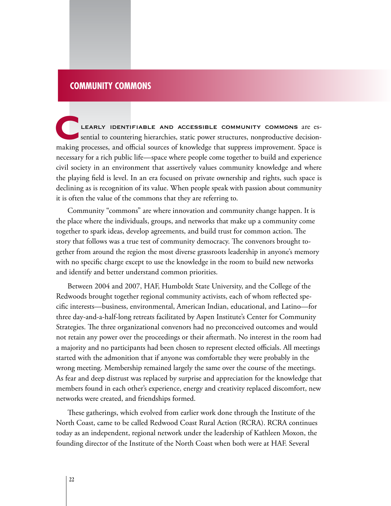### **COMMUNITY COMMONS**

LEARLY IDENTIFIABLE AND ACCESSIBLE COMMUNITY COMMONS are es-<br>sential to countering hierarchies, static power structures, nonproductive decisionmaking processes, and official sources of knowledge that suppress improvement. Space is necessary for a rich public life—space where people come together to build and experience civil society in an environment that assertively values community knowledge and where the playing field is level. In an era focused on private ownership and rights, such space is declining as is recognition of its value. When people speak with passion about community it is often the value of the commons that they are referring to.

Community "commons" are where innovation and community change happen. It is the place where the individuals, groups, and networks that make up a community come together to spark ideas, develop agreements, and build trust for common action. The story that follows was a true test of community democracy. The convenors brought together from around the region the most diverse grassroots leadership in anyone's memory with no specific charge except to use the knowledge in the room to build new networks and identify and better understand common priorities.

Between 2004 and 2007, HAF, Humboldt State University, and the College of the Redwoods brought together regional community activists, each of whom reflected specific interests—business, environmental, American Indian, educational, and Latino—for three day-and-a-half-long retreats facilitated by Aspen Institute's Center for Community Strategies. The three organizational convenors had no preconceived outcomes and would not retain any power over the proceedings or their aftermath. No interest in the room had a majority and no participants had been chosen to represent elected officials. All meetings started with the admonition that if anyone was comfortable they were probably in the wrong meeting. Membership remained largely the same over the course of the meetings. As fear and deep distrust was replaced by surprise and appreciation for the knowledge that members found in each other's experience, energy and creativity replaced discomfort, new networks were created, and friendships formed.

These gatherings, which evolved from earlier work done through the Institute of the North Coast, came to be called Redwood Coast Rural Action (RCRA). RCRA continues today as an independent, regional network under the leadership of Kathleen Moxon, the founding director of the Institute of the North Coast when both were at HAF. Several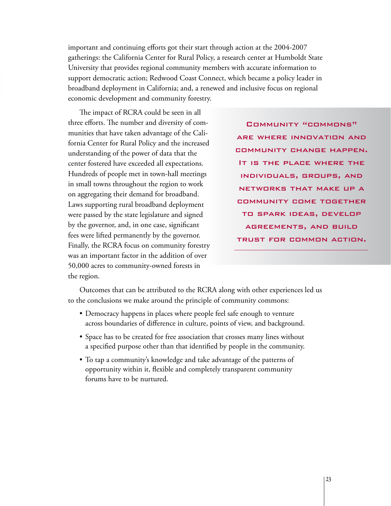important and continuing efforts got their start through action at the 2004-2007 gatherings: the California Center for Rural Policy, a research center at Humboldt State University that provides regional community members with accurate information to support democratic action; Redwood Coast Connect, which became a policy leader in broadband deployment in California; and, a renewed and inclusive focus on regional economic development and community forestry.

The impact of RCRA could be seen in all three efforts. The number and diversity of communities that have taken advantage of the California Center for Rural Policy and the increased understanding of the power of data that the center fostered have exceeded all expectations. Hundreds of people met in town-hall meetings in small towns throughout the region to work on aggregating their demand for broadband. Laws supporting rural broadband deployment were passed by the state legislature and signed by the governor, and, in one case, significant fees were lifted permanently by the governor. Finally, the RCRA focus on community forestry was an important factor in the addition of over 50,000 acres to community-owned forests in the region.

Community "commons" are where innovation and community change happen. It is the place where the individuals, groups, and networks that make up a community come together to spark ideas, develop agreements, and build trust for common action.

Outcomes that can be attributed to the RCRA along with other experiences led us to the conclusions we make around the principle of community commons:

- Democracy happens in places where people feel safe enough to venture across boundaries of difference in culture, points of view, and background.
- Space has to be created for free association that crosses many lines without a specified purpose other than that identified by people in the community.
- To tap a community's knowledge and take advantage of the patterns of opportunity within it, flexible and completely transparent community forums have to be nurtured.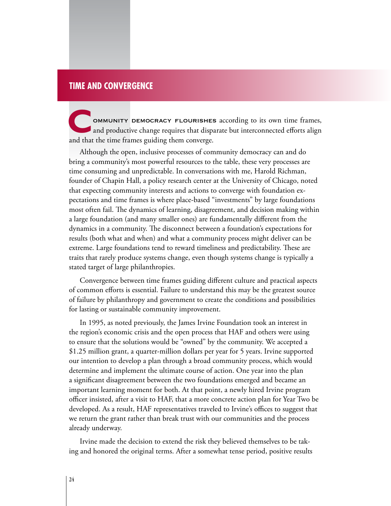#### **TIME AND CONVERGENCE**

**OMMUNITY DEMOCRACY FLOURISHES** according to its own time frames, and productive change requires that disparate but interconnected efforts align and that the time frames guiding them converge.

Although the open, inclusive processes of community democracy can and do bring a community's most powerful resources to the table, these very processes are time consuming and unpredictable. In conversations with me, Harold Richman, founder of Chapin Hall, a policy research center at the University of Chicago, noted that expecting community interests and actions to converge with foundation expectations and time frames is where place-based "investments" by large foundations most often fail. The dynamics of learning, disagreement, and decision making within a large foundation (and many smaller ones) are fundamentally different from the dynamics in a community. The disconnect between a foundation's expectations for results (both what and when) and what a community process might deliver can be extreme. Large foundations tend to reward timeliness and predictability. These are traits that rarely produce systems change, even though systems change is typically a stated target of large philanthropies.

Convergence between time frames guiding different culture and practical aspects of common efforts is essential. Failure to understand this may be the greatest source of failure by philanthropy and government to create the conditions and possibilities for lasting or sustainable community improvement.

In 1995, as noted previously, the James Irvine Foundation took an interest in the region's economic crisis and the open process that HAF and others were using to ensure that the solutions would be "owned" by the community. We accepted a \$1.25 million grant, a quarter-million dollars per year for 5 years. Irvine supported our intention to develop a plan through a broad community process, which would determine and implement the ultimate course of action. One year into the plan a significant disagreement between the two foundations emerged and became an important learning moment for both. At that point, a newly hired Irvine program officer insisted, after a visit to HAF, that a more concrete action plan for Year Two be developed. As a result, HAF representatives traveled to Irvine's offices to suggest that we return the grant rather than break trust with our communities and the process already underway.

Irvine made the decision to extend the risk they believed themselves to be taking and honored the original terms. After a somewhat tense period, positive results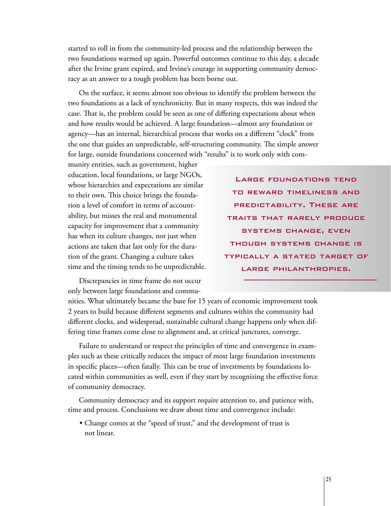started to roll in from the community-led process and the relationship between the two foundations warmed up again. Powerful outcomes continue to this day, a decade after the Irvine grant expired, and Irvine's courage in supporting community democracy as an answer to a tough problem has been borne out.

On the surface, it seems almost too obvious to identify the problem between the two foundations as a lack of synchronicity. But in many respects, this was indeed the case. That is, the problem could be seen as one of differing expectations about when and how results would be achieved. A large foundation—almost any foundation or agency—has an internal, hierarchical process that works on a different "clock" from the one that guides an unpredictable, self-structuring community. The simple answer for large, outside foundations concerned with "results" is to work only with com-

munity entities, such as government, higher education, local foundations, or large NGOs, whose hierarchies and expectations are similar to their own. This choice brings the foundation a level of comfort in terms of accountability, but misses the real and monumental capacity for improvement that a community has when its culture changes, not just when actions are taken that last only for the duration of the grant. Changing a culture takes time and the timing tends to be unpredictable.

Large foundations tend to reward timeliness and predictability. These are traits that rarely produce systems change, even though systems change is typically a stated target of large philanthropies.

Discrepancies in time frame do not occur only between large foundations and commu-

nities. What ultimately became the base for 15 years of economic improvement took 2 years to build because different segments and cultures within the community had different clocks, and widespread, sustainable cultural change happens only when differing time frames come close to alignment and, at critical junctures, converge.

Failure to understand or respect the principles of time and convergence in examples such as these critically reduces the impact of most large foundation investments in specific places—often fatally. This can be true of investments by foundations located within communities as well, even if they start by recognizing the effective force of community democracy.

Community democracy and its support require attention to, and patience with, time and process. Conclusions we draw about time and convergence include:

• Change comes at the "speed of trust," and the development of trust is not linear.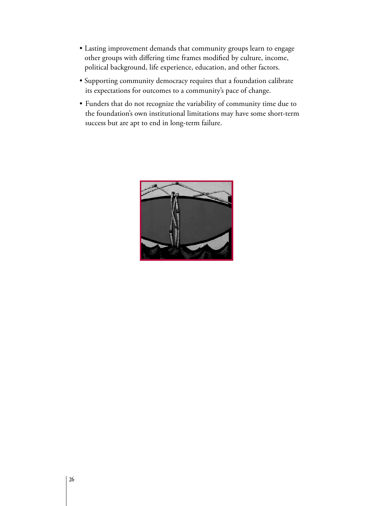- Lasting improvement demands that community groups learn to engage other groups with differing time frames modified by culture, income, political background, life experience, education, and other factors.
- Supporting community democracy requires that a foundation calibrate its expectations for outcomes to a community's pace of change.
- Funders that do not recognize the variability of community time due to the foundation's own institutional limitations may have some short-term success but are apt to end in long-term failure.

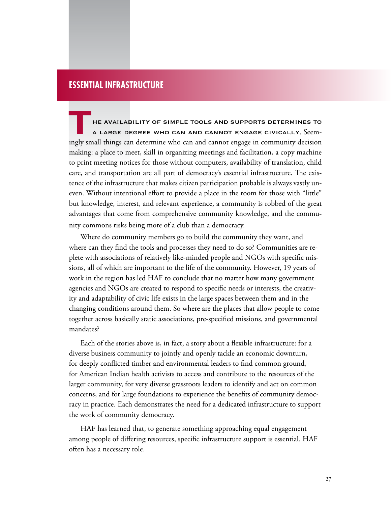## **ESSENTIAL INFRASTRUCTURE**

**HE AVAILABILITY OF SIMPLE TOOLS AND SUPPORTS DETERMINES TO** a large degree who can and cannot engage civically. Seemingly small things can determine who can and cannot engage in community decision making: a place to meet, skill in organizing meetings and facilitation, a copy machine to print meeting notices for those without computers, availability of translation, child care, and transportation are all part of democracy's essential infrastructure. The existence of the infrastructure that makes citizen participation probable is always vastly uneven. Without intentional effort to provide a place in the room for those with "little" but knowledge, interest, and relevant experience, a community is robbed of the great advantages that come from comprehensive community knowledge, and the community commons risks being more of a club than a democracy.

Where do community members go to build the community they want, and where can they find the tools and processes they need to do so? Communities are replete with associations of relatively like-minded people and NGOs with specific missions, all of which are important to the life of the community. However, 19 years of work in the region has led HAF to conclude that no matter how many government agencies and NGOs are created to respond to specific needs or interests, the creativity and adaptability of civic life exists in the large spaces between them and in the changing conditions around them. So where are the places that allow people to come together across basically static associations, pre-specified missions, and governmental mandates?

Each of the stories above is, in fact, a story about a flexible infrastructure: for a diverse business community to jointly and openly tackle an economic downturn, for deeply conflicted timber and environmental leaders to find common ground, for American Indian health activists to access and contribute to the resources of the larger community, for very diverse grassroots leaders to identify and act on common concerns, and for large foundations to experience the benefits of community democracy in practice. Each demonstrates the need for a dedicated infrastructure to support the work of community democracy.

HAF has learned that, to generate something approaching equal engagement among people of differing resources, specific infrastructure support is essential. HAF often has a necessary role.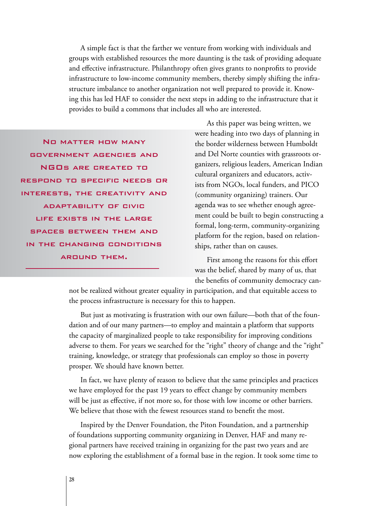A simple fact is that the farther we venture from working with individuals and groups with established resources the more daunting is the task of providing adequate and effective infrastructure. Philanthropy often gives grants to nonprofits to provide infrastructure to low-income community members, thereby simply shifting the infrastructure imbalance to another organization not well prepared to provide it. Knowing this has led HAF to consider the next steps in adding to the infrastructure that it provides to build a commons that includes all who are interested.

NO MATTER HOW MANY government agencies and NGOs are created to respond to specific needs or interests, the creativity and adaptability of civic life exists in the large spaces between them and in the changing conditions around them.

As this paper was being written, we were heading into two days of planning in the border wilderness between Humboldt and Del Norte counties with grassroots organizers, religious leaders, American Indian cultural organizers and educators, activists from NGOs, local funders, and PICO (community organizing) trainers. Our agenda was to see whether enough agreement could be built to begin constructing a formal, long-term, community-organizing platform for the region, based on relationships, rather than on causes.

First among the reasons for this effort was the belief, shared by many of us, that the benefits of community democracy can-

not be realized without greater equality in participation, and that equitable access to the process infrastructure is necessary for this to happen.

But just as motivating is frustration with our own failure—both that of the foundation and of our many partners—to employ and maintain a platform that supports the capacity of marginalized people to take responsibility for improving conditions adverse to them. For years we searched for the "right" theory of change and the "right" training, knowledge, or strategy that professionals can employ so those in poverty prosper. We should have known better.

In fact, we have plenty of reason to believe that the same principles and practices we have employed for the past 19 years to effect change by community members will be just as effective, if not more so, for those with low income or other barriers. We believe that those with the fewest resources stand to benefit the most.

Inspired by the Denver Foundation, the Piton Foundation, and a partnership of foundations supporting community organizing in Denver, HAF and many regional partners have received training in organizing for the past two years and are now exploring the establishment of a formal base in the region. It took some time to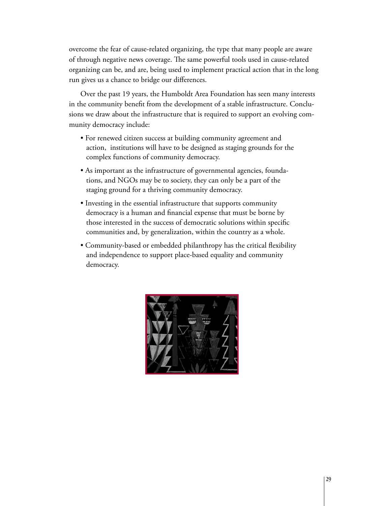overcome the fear of cause-related organizing, the type that many people are aware of through negative news coverage. The same powerful tools used in cause-related organizing can be, and are, being used to implement practical action that in the long run gives us a chance to bridge our differences.

Over the past 19 years, the Humboldt Area Foundation has seen many interests in the community benefit from the development of a stable infrastructure. Conclusions we draw about the infrastructure that is required to support an evolving community democracy include:

- For renewed citizen success at building community agreement and action, institutions will have to be designed as staging grounds for the complex functions of community democracy.
- As important as the infrastructure of governmental agencies, founda tions, and NGOs may be to society, they can only be a part of the staging ground for a thriving community democracy.
- Investing in the essential infrastructure that supports community democracy is a human and financial expense that must be borne by those interested in the success of democratic solutions within specific communities and, by generalization, within the country as a whole.
- Community-based or embedded philanthropy has the critical flexibility and independence to support place-based equality and community democracy.

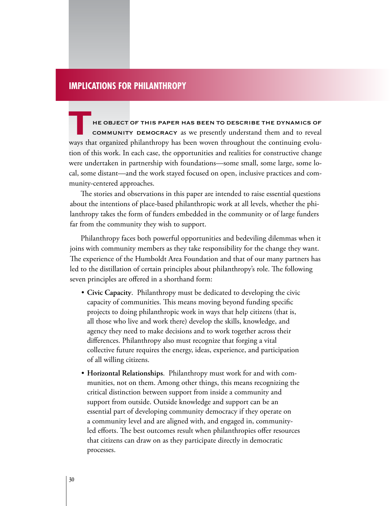### **IMPLICATIONS FOR PHILANTHROPY**

**HE OBJECT OF THIS PAPER HAS BEEN TO DESCRIBE THE DYNAMICS OF** community democracy as we presently understand them and to reveal ways that organized philanthropy has been woven throughout the continuing evolution of this work. In each case, the opportunities and realities for constructive change were undertaken in partnership with foundations—some small, some large, some local, some distant—and the work stayed focused on open, inclusive practices and community-centered approaches.

The stories and observations in this paper are intended to raise essential questions about the intentions of place-based philanthropic work at all levels, whether the philanthropy takes the form of funders embedded in the community or of large funders far from the community they wish to support.

Philanthropy faces both powerful opportunities and bedeviling dilemmas when it joins with community members as they take responsibility for the change they want. The experience of the Humboldt Area Foundation and that of our many partners has led to the distillation of certain principles about philanthropy's role. The following seven principles are offered in a shorthand form:

- • **Civic Capacity**. Philanthropy must be dedicated to developing the civic capacity of communities. This means moving beyond funding specific projects to doing philanthropic work in ways that help citizens (that is, all those who live and work there) develop the skills, knowledge, and agency they need to make decisions and to work together across their differences. Philanthropy also must recognize that forging a vital collective future requires the energy, ideas, experience, and participation of all willing citizens.
- **Horizontal Relationships**. Philanthropy must work for and with com munities, not on them. Among other things, this means recognizing the critical distinction between support from inside a community and support from outside. Outside knowledge and support can be an essential part of developing community democracy if they operate on a community level and are aligned with, and engaged in, community led efforts. The best outcomes result when philanthropies offer resources that citizens can draw on as they participate directly in democratic processes.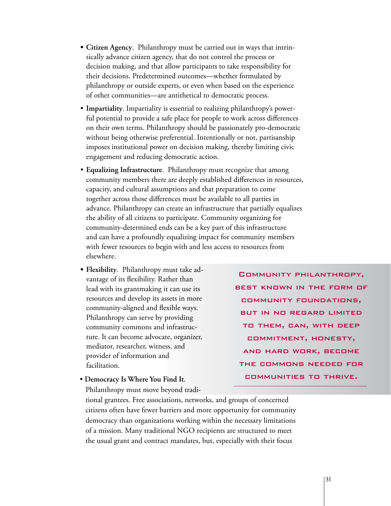- **Citizen Agency.** Philanthropy must be carried out in ways that intrin sically advance citizen agency, that do not control the process or decision making, and that allow participants to take responsibility for their decisions. Predetermined outcomes—whether formulated by philanthropy or outside experts, or even when based on the experience of other communities—are antithetical to democratic process.
- **Impartiality**. Impartiality is essential to realizing philanthropy's power ful potential to provide a safe place for people to work across differences on their own terms. Philanthropy should be passionately pro-democratic without being otherwise preferential. Intentionally or not, partisanship imposes institutional power on decision making, thereby limiting civic engagement and reducing democratic action.
- **Equalizing Infrastructure**. Philanthropy must recognize that among community members there are deeply established differences in resources, capacity, and cultural assumptions and that preparation to come together across those differences must be available to all parties in advance. Philanthropy can create an infrastructure that partially equalizes the ability of all citizens to participate. Community organizing for community-determined ends can be a key part of this infrastructure and can have a profoundly equalizing impact for community members with fewer resources to begin with and less access to resources from elsewhere.
- **• Flexibility**. Philanthropy must take ad vantage of its flexibility. Rather than lead with its grantmaking it can use its resources and develop its assets in more community-aligned and flexible ways. Philanthropy can serve by providing community commons and infrastruc ture. It can become advocate, organizer, mediator, researcher, witness, and provider of information and facilitation.

Community philanthropy, best known in the form of community foundations, but in no regard limited to them, can, with deep commitment, honesty, and hard work, become the commons needed for communities to thrive.

 • **Democracy Is Where You Find It**.

Philanthropy must move beyond tradi-

 tional grantees. Free associations, networks, and groups of concerned citizens often have fewer barriers and more opportunity for community democracy than organizations working within the necessary limitations of a mission. Many traditional NGO recipients are structured to meet the usual grant and contract mandates, but, especially with their focus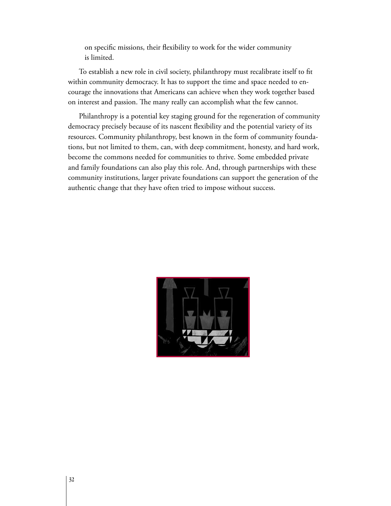on specific missions, their flexibility to work for the wider community is limited.

To establish a new role in civil society, philanthropy must recalibrate itself to fit within community democracy. It has to support the time and space needed to encourage the innovations that Americans can achieve when they work together based on interest and passion. The many really can accomplish what the few cannot.

Philanthropy is a potential key staging ground for the regeneration of community democracy precisely because of its nascent flexibility and the potential variety of its resources. Community philanthropy, best known in the form of community foundations, but not limited to them, can, with deep commitment, honesty, and hard work, become the commons needed for communities to thrive. Some embedded private and family foundations can also play this role. And, through partnerships with these community institutions, larger private foundations can support the generation of the authentic change that they have often tried to impose without success.

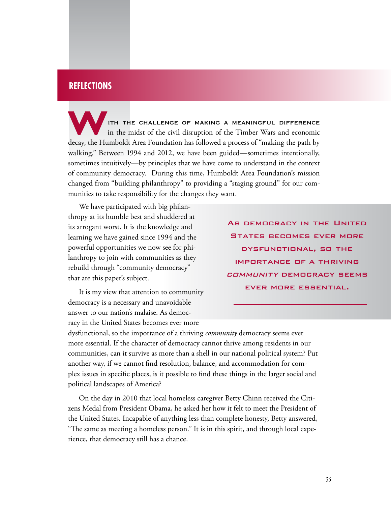## **REFLECTIONS**

ITH THE CHALLENGE OF MAKING A MEANINGFUL DIFFERENCE in the midst of the civil disruption of the Timber Wars and economic decay, the Humboldt Area Foundation has followed a process of "making the path by walking." Between 1994 and 2012, we have been guided—sometimes intentionally, sometimes intuitively—by principles that we have come to understand in the context of community democracy. During this time, Humboldt Area Foundation's mission changed from "building philanthropy" to providing a "staging ground" for our communities to take responsibility for the changes they want.

We have participated with big philanthropy at its humble best and shuddered at its arrogant worst. It is the knowledge and learning we have gained since 1994 and the powerful opportunities we now see for philanthropy to join with communities as they rebuild through "community democracy" that are this paper's subject.

As democracy in the United States becomes ever more dysfunctional, so the importance of a thriving community democracy seems ever more essential.

It is my view that attention to community democracy is a necessary and unavoidable answer to our nation's malaise. As democracy in the United States becomes ever more

dysfunctional, so the importance of a thriving *community* democracy seems ever more essential. If the character of democracy cannot thrive among residents in our communities, can it survive as more than a shell in our national political system? Put another way, if we cannot find resolution, balance, and accommodation for complex issues in specific places, is it possible to find these things in the larger social and political landscapes of America?

On the day in 2010 that local homeless caregiver Betty Chinn received the Citizens Medal from President Obama, he asked her how it felt to meet the President of the United States. Incapable of anything less than complete honesty, Betty answered, "The same as meeting a homeless person." It is in this spirit, and through local experience, that democracy still has a chance.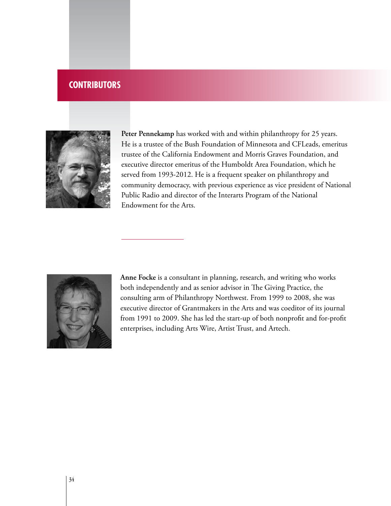# **CONTRIBUTORS**



**Peter Pennekamp** has worked with and within philanthropy for 25 years. He is a trustee of the Bush Foundation of Minnesota and CFLeads, emeritus trustee of the California Endowment and Morris Graves Foundation, and executive director emeritus of the Humboldt Area Foundation, which he served from 1993-2012. He is a frequent speaker on philanthropy and community democracy, with previous experience as vice president of National Public Radio and director of the Interarts Program of the National Endowment for the Arts.



**Anne Focke** is a consultant in planning, research, and writing who works both independently and as senior advisor in The Giving Practice, the consulting arm of Philanthropy Northwest. From 1999 to 2008, she was executive director of Grantmakers in the Arts and was coeditor of its journal from 1991 to 2009. She has led the start-up of both nonprofit and for-profit enterprises, including Arts Wire, Artist Trust, and Artech.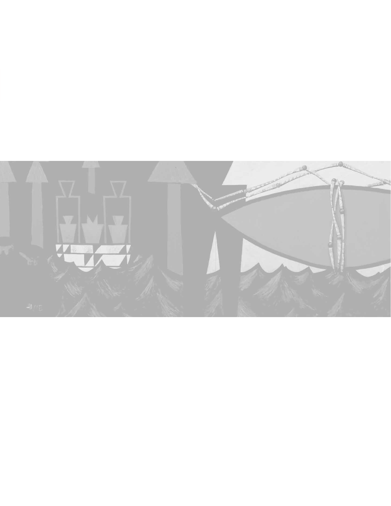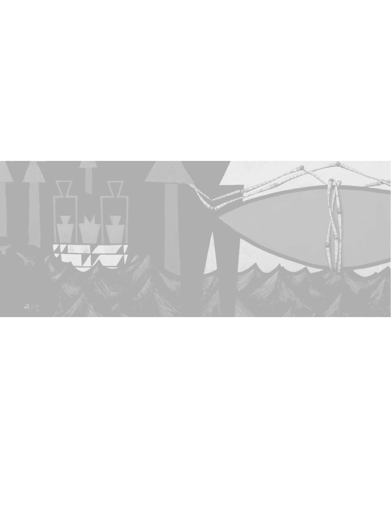